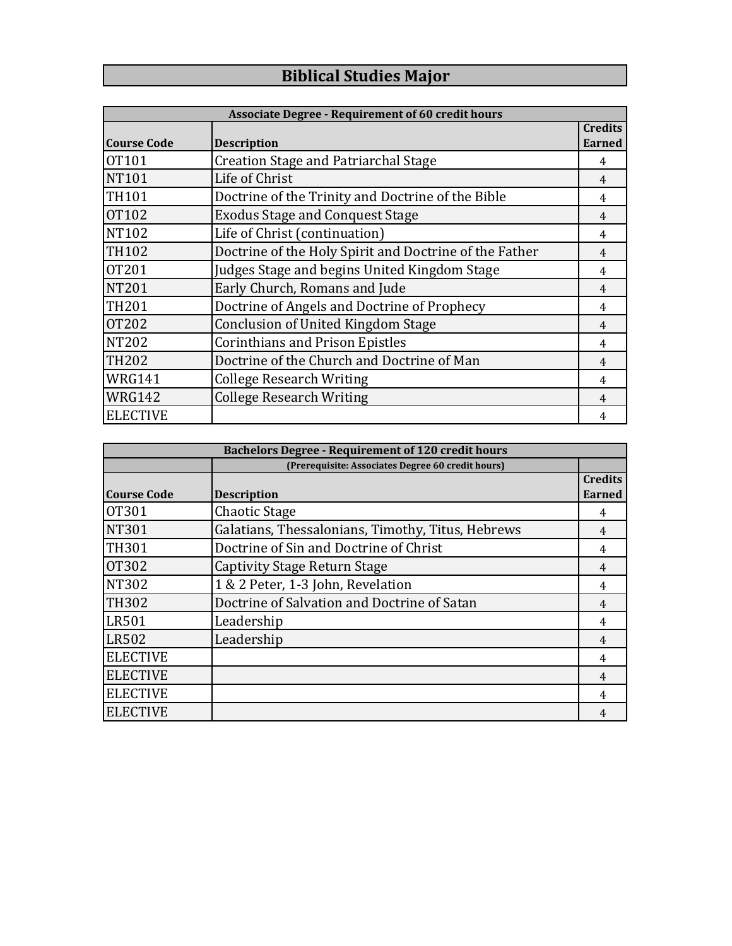## **Biblical Studies Major**

| <b>Associate Degree - Requirement of 60 credit hours</b> |                                                        |                                 |  |  |
|----------------------------------------------------------|--------------------------------------------------------|---------------------------------|--|--|
| <b>Course Code</b>                                       | <b>Description</b>                                     | <b>Credits</b><br><b>Earned</b> |  |  |
| <b>OT101</b>                                             | <b>Creation Stage and Patriarchal Stage</b>            | 4                               |  |  |
| <b>NT101</b>                                             | Life of Christ                                         | 4                               |  |  |
| <b>TH101</b>                                             | Doctrine of the Trinity and Doctrine of the Bible      | 4                               |  |  |
| <b>OT102</b>                                             | <b>Exodus Stage and Conquest Stage</b>                 | 4                               |  |  |
| <b>NT102</b>                                             | Life of Christ (continuation)                          | 4                               |  |  |
| <b>TH102</b>                                             | Doctrine of the Holy Spirit and Doctrine of the Father | 4                               |  |  |
| <b>OT201</b>                                             | Judges Stage and begins United Kingdom Stage           | 4                               |  |  |
| <b>NT201</b>                                             | Early Church, Romans and Jude                          | 4                               |  |  |
| <b>TH201</b>                                             | Doctrine of Angels and Doctrine of Prophecy            | 4                               |  |  |
| <b>OT202</b>                                             | <b>Conclusion of United Kingdom Stage</b>              | 4                               |  |  |
| <b>NT202</b>                                             | <b>Corinthians and Prison Epistles</b>                 | 4                               |  |  |
| <b>TH202</b>                                             | Doctrine of the Church and Doctrine of Man             | $\overline{4}$                  |  |  |
| <b>WRG141</b>                                            | <b>College Research Writing</b>                        | 4                               |  |  |
| <b>WRG142</b>                                            | <b>College Research Writing</b>                        | 4                               |  |  |
| <b>ELECTIVE</b>                                          |                                                        |                                 |  |  |

| <b>Bachelors Degree - Requirement of 120 credit hours</b> |                                                   |                |  |
|-----------------------------------------------------------|---------------------------------------------------|----------------|--|
|                                                           | (Prerequisite: Associates Degree 60 credit hours) |                |  |
|                                                           |                                                   | <b>Credits</b> |  |
| <b>Course Code</b>                                        | <b>Description</b>                                | Earned         |  |
| <b>OT301</b>                                              | Chaotic Stage                                     | 4              |  |
| <b>NT301</b>                                              | Galatians, Thessalonians, Timothy, Titus, Hebrews | 4              |  |
| <b>TH301</b>                                              | Doctrine of Sin and Doctrine of Christ            | 4              |  |
| <b>OT302</b>                                              | Captivity Stage Return Stage                      | 4              |  |
| <b>NT302</b>                                              | 1 & 2 Peter, 1-3 John, Revelation                 | 4              |  |
| <b>TH302</b>                                              | Doctrine of Salvation and Doctrine of Satan       | 4              |  |
| <b>LR501</b>                                              | Leadership                                        | 4              |  |
| <b>LR502</b>                                              | Leadership                                        | 4              |  |
| <b>ELECTIVE</b>                                           |                                                   | 4              |  |
| <b>ELECTIVE</b>                                           |                                                   | 4              |  |
| <b>ELECTIVE</b>                                           |                                                   | 4              |  |
| <b>ELECTIVE</b>                                           |                                                   | 4              |  |